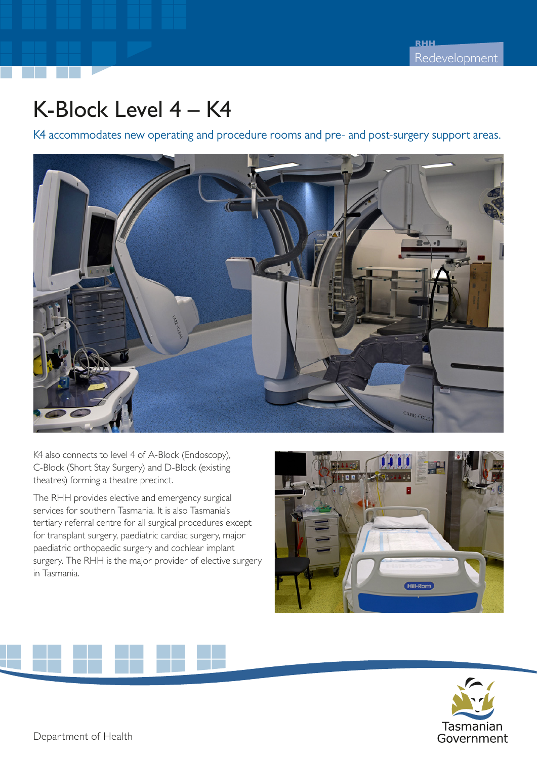## K-Block Level 4 – K4

K4 accommodates new operating and procedure rooms and pre- and post-surgery support areas.



K4 also connects to level 4 of A-Block (Endoscopy), C-Block (Short Stay Surgery) and D-Block (existing theatres) forming a theatre precinct.

The RHH provides elective and emergency surgical services for southern Tasmania. It is also Tasmania's tertiary referral centre for all surgical procedures except for transplant surgery, paediatric cardiac surgery, major paediatric orthopaedic surgery and cochlear implant surgery. The RHH is the major provider of elective surgery in Tasmania.